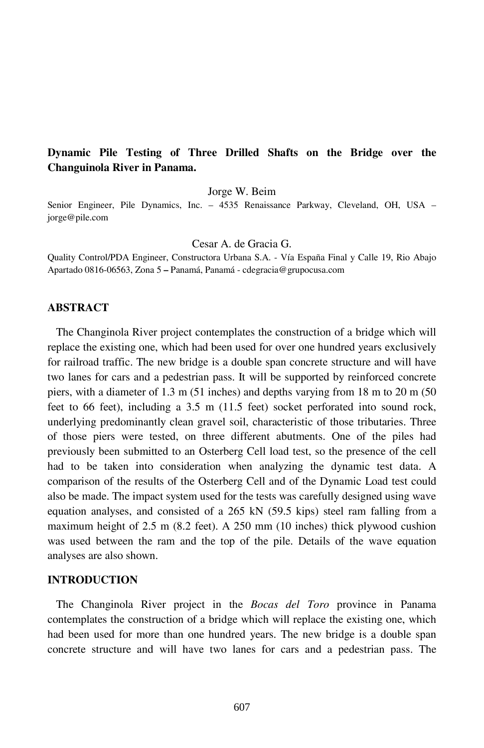# **Dynamic Pile Testing of Three Drilled Shafts on the Bridge over the Changuinola River in Panama.**

Jorge W. Beim

Senior Engineer, Pile Dynamics, Inc. – 4535 Renaissance Parkway, Cleveland, OH, USA – jorge@pile.com

Cesar A. de Gracia G.

Quality Control/PDA Engineer, Constructora Urbana S.A. - Vía España Final y Calle 19, Rio Abajo Apartado 0816-06563, Zona 5 **–** Panamá, Panamá - cdegracia@grupocusa.com

#### **ABSTRACT**

 The Changinola River project contemplates the construction of a bridge which will replace the existing one, which had been used for over one hundred years exclusively for railroad traffic. The new bridge is a double span concrete structure and will have two lanes for cars and a pedestrian pass. It will be supported by reinforced concrete piers, with a diameter of 1.3 m (51 inches) and depths varying from 18 m to 20 m (50 feet to 66 feet), including a 3.5 m (11.5 feet) socket perforated into sound rock, underlying predominantly clean gravel soil, characteristic of those tributaries. Three of those piers were tested, on three different abutments. One of the piles had previously been submitted to an Osterberg Cell load test, so the presence of the cell had to be taken into consideration when analyzing the dynamic test data. A comparison of the results of the Osterberg Cell and of the Dynamic Load test could also be made. The impact system used for the tests was carefully designed using wave equation analyses, and consisted of a 265 kN (59.5 kips) steel ram falling from a maximum height of 2.5 m (8.2 feet). A 250 mm (10 inches) thick plywood cushion was used between the ram and the top of the pile. Details of the wave equation analyses are also shown.

## **INTRODUCTION**

 The Changinola River project in the *Bocas del Toro* province in Panama contemplates the construction of a bridge which will replace the existing one, which had been used for more than one hundred years. The new bridge is a double span concrete structure and will have two lanes for cars and a pedestrian pass. The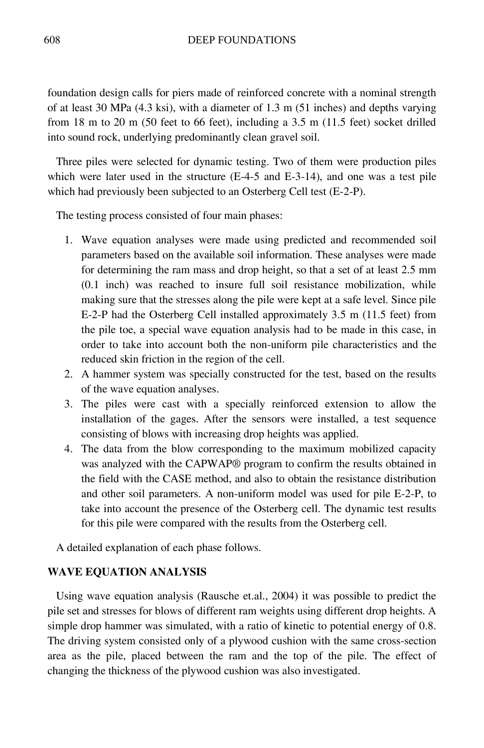foundation design calls for piers made of reinforced concrete with a nominal strength of at least 30 MPa (4.3 ksi), with a diameter of 1.3 m (51 inches) and depths varying from 18 m to 20 m (50 feet to 66 feet), including a 3.5 m (11.5 feet) socket drilled into sound rock, underlying predominantly clean gravel soil.

 Three piles were selected for dynamic testing. Two of them were production piles which were later used in the structure (E-4-5 and E-3-14), and one was a test pile which had previously been subjected to an Osterberg Cell test (E-2-P).

The testing process consisted of four main phases:

- 1. Wave equation analyses were made using predicted and recommended soil parameters based on the available soil information. These analyses were made for determining the ram mass and drop height, so that a set of at least 2.5 mm (0.1 inch) was reached to insure full soil resistance mobilization, while making sure that the stresses along the pile were kept at a safe level. Since pile E-2-P had the Osterberg Cell installed approximately 3.5 m (11.5 feet) from the pile toe, a special wave equation analysis had to be made in this case, in order to take into account both the non-uniform pile characteristics and the reduced skin friction in the region of the cell.
- 2. A hammer system was specially constructed for the test, based on the results of the wave equation analyses.
- 3. The piles were cast with a specially reinforced extension to allow the installation of the gages. After the sensors were installed, a test sequence consisting of blows with increasing drop heights was applied.
- 4. The data from the blow corresponding to the maximum mobilized capacity was analyzed with the CAPWAP® program to confirm the results obtained in the field with the CASE method, and also to obtain the resistance distribution and other soil parameters. A non-uniform model was used for pile E-2-P, to take into account the presence of the Osterberg cell. The dynamic test results for this pile were compared with the results from the Osterberg cell.

A detailed explanation of each phase follows.

# **WAVE EQUATION ANALYSIS**

 Using wave equation analysis (Rausche et.al., 2004) it was possible to predict the pile set and stresses for blows of different ram weights using different drop heights. A simple drop hammer was simulated, with a ratio of kinetic to potential energy of 0.8. The driving system consisted only of a plywood cushion with the same cross-section area as the pile, placed between the ram and the top of the pile. The effect of changing the thickness of the plywood cushion was also investigated.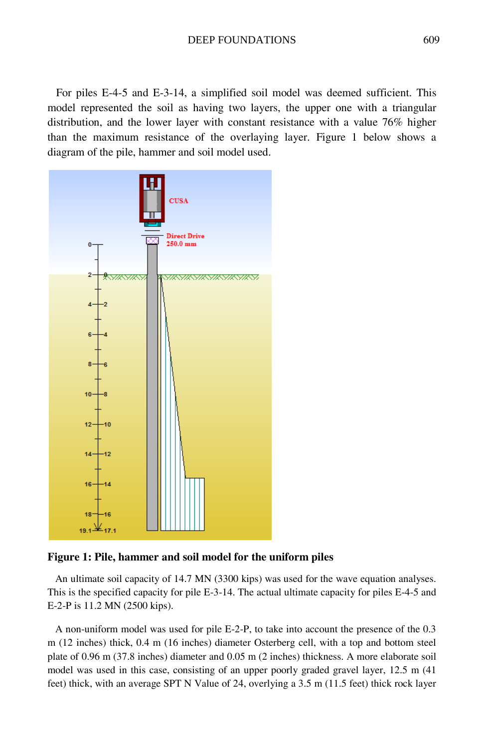For piles E-4-5 and E-3-14, a simplified soil model was deemed sufficient. This model represented the soil as having two layers, the upper one with a triangular distribution, and the lower layer with constant resistance with a value 76% higher than the maximum resistance of the overlaying layer. Figure 1 below shows a diagram of the pile, hammer and soil model used.



**Figure 1: Pile, hammer and soil model for the uniform piles** 

 An ultimate soil capacity of 14.7 MN (3300 kips) was used for the wave equation analyses. This is the specified capacity for pile E-3-14. The actual ultimate capacity for piles E-4-5 and E-2-P is 11.2 MN (2500 kips).

 A non-uniform model was used for pile E-2-P, to take into account the presence of the 0.3 m (12 inches) thick, 0.4 m (16 inches) diameter Osterberg cell, with a top and bottom steel plate of 0.96 m (37.8 inches) diameter and 0.05 m (2 inches) thickness. A more elaborate soil model was used in this case, consisting of an upper poorly graded gravel layer, 12.5 m (41 feet) thick, with an average SPT N Value of 24, overlying a 3.5 m (11.5 feet) thick rock layer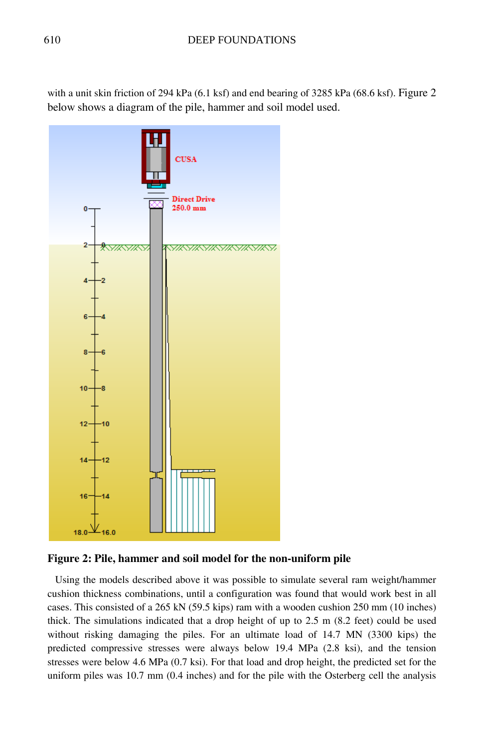with a unit skin friction of 294 kPa (6.1 ksf) and end bearing of 3285 kPa (68.6 ksf). Figure 2 below shows a diagram of the pile, hammer and soil model used.





 Using the models described above it was possible to simulate several ram weight/hammer cushion thickness combinations, until a configuration was found that would work best in all cases. This consisted of a 265 kN (59.5 kips) ram with a wooden cushion 250 mm (10 inches) thick. The simulations indicated that a drop height of up to 2.5 m (8.2 feet) could be used without risking damaging the piles. For an ultimate load of 14.7 MN (3300 kips) the predicted compressive stresses were always below 19.4 MPa (2.8 ksi), and the tension stresses were below 4.6 MPa (0.7 ksi). For that load and drop height, the predicted set for the uniform piles was 10.7 mm (0.4 inches) and for the pile with the Osterberg cell the analysis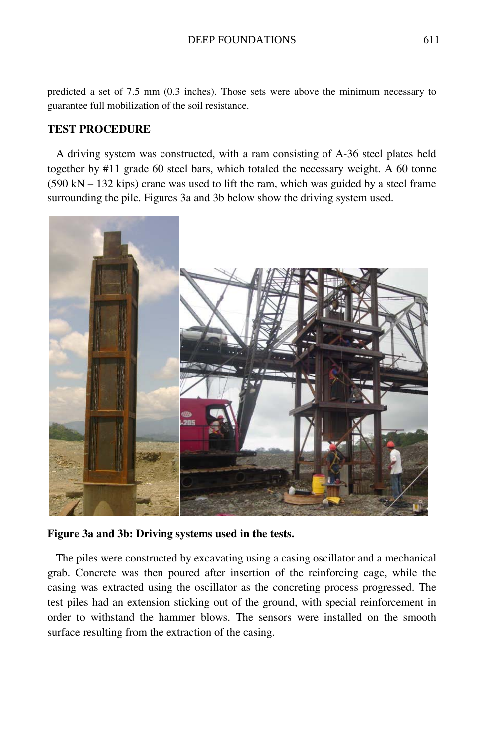predicted a set of 7.5 mm (0.3 inches). Those sets were above the minimum necessary to guarantee full mobilization of the soil resistance.

# **TEST PROCEDURE**

 A driving system was constructed, with a ram consisting of A-36 steel plates held together by #11 grade 60 steel bars, which totaled the necessary weight. A 60 tonne (590 kN – 132 kips) crane was used to lift the ram, which was guided by a steel frame surrounding the pile. Figures 3a and 3b below show the driving system used.



**Figure 3a and 3b: Driving systems used in the tests.** 

 The piles were constructed by excavating using a casing oscillator and a mechanical grab. Concrete was then poured after insertion of the reinforcing cage, while the casing was extracted using the oscillator as the concreting process progressed. The test piles had an extension sticking out of the ground, with special reinforcement in order to withstand the hammer blows. The sensors were installed on the smooth surface resulting from the extraction of the casing.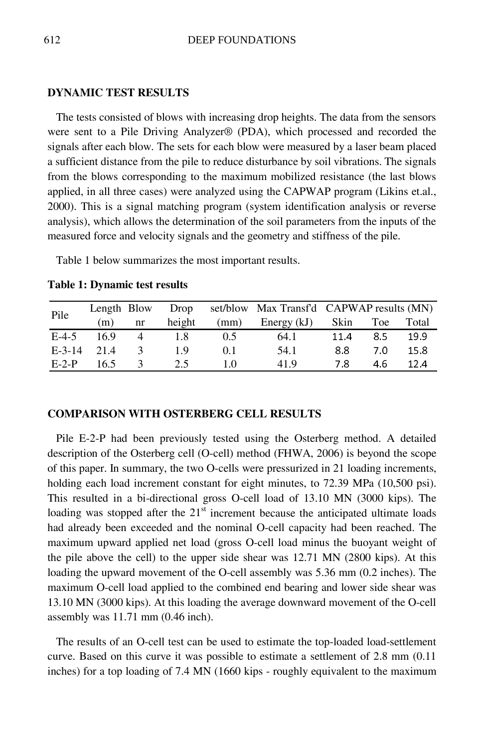# **DYNAMIC TEST RESULTS**

 The tests consisted of blows with increasing drop heights. The data from the sensors were sent to a Pile Driving Analyzer® (PDA), which processed and recorded the signals after each blow. The sets for each blow were measured by a laser beam placed a sufficient distance from the pile to reduce disturbance by soil vibrations. The signals from the blows corresponding to the maximum mobilized resistance (the last blows applied, in all three cases) were analyzed using the CAPWAP program (Likins et.al., 2000). This is a signal matching program (system identification analysis or reverse analysis), which allows the determination of the soil parameters from the inputs of the measured force and velocity signals and the geometry and stiffness of the pile.

Table 1 below summarizes the most important results.

| Pile     | Length Blow |               | Drop   |      |               | set/blow Max Transf'd CAPWAP results (MN) |     |       |
|----------|-------------|---------------|--------|------|---------------|-------------------------------------------|-----|-------|
|          | (m)         | nr            | height | (mm) | Energy $(kJ)$ | Skin                                      | Toe | Total |
| $E-4-5$  | 16.9        | 4             | 1.8    | 0.5  | 64.1          | 114                                       | 85  | 199   |
| $E-3-14$ | 21.4        | 3             | 1.9    | 0.1  | 54.1          | 88                                        | 7.0 | 15.8  |
| $E-2-P$  | 16.5        | $\mathcal{R}$ | 2.5    | 1.0  | 41.9          | 7.8                                       | 4.6 | 12.4  |
|          |             |               |        |      |               |                                           |     |       |

#### **Table 1: Dynamic test results**

#### **COMPARISON WITH OSTERBERG CELL RESULTS**

 Pile E-2-P had been previously tested using the Osterberg method. A detailed description of the Osterberg cell (O-cell) method (FHWA, 2006) is beyond the scope of this paper. In summary, the two O-cells were pressurized in 21 loading increments, holding each load increment constant for eight minutes, to 72.39 MPa (10,500 psi). This resulted in a bi-directional gross O-cell load of 13.10 MN (3000 kips). The loading was stopped after the  $21<sup>st</sup>$  increment because the anticipated ultimate loads had already been exceeded and the nominal O-cell capacity had been reached. The maximum upward applied net load (gross O-cell load minus the buoyant weight of the pile above the cell) to the upper side shear was 12.71 MN (2800 kips). At this loading the upward movement of the O-cell assembly was 5.36 mm (0.2 inches). The maximum O-cell load applied to the combined end bearing and lower side shear was 13.10 MN (3000 kips). At this loading the average downward movement of the O-cell assembly was 11.71 mm (0.46 inch).

 The results of an O-cell test can be used to estimate the top-loaded load-settlement curve. Based on this curve it was possible to estimate a settlement of 2.8 mm (0.11 inches) for a top loading of 7.4 MN (1660 kips - roughly equivalent to the maximum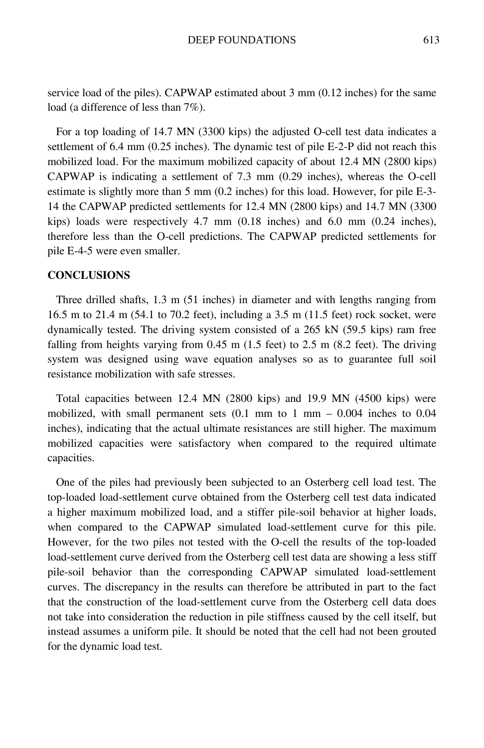service load of the piles). CAPWAP estimated about 3 mm (0.12 inches) for the same load (a difference of less than 7%).

 For a top loading of 14.7 MN (3300 kips) the adjusted O-cell test data indicates a settlement of 6.4 mm (0.25 inches). The dynamic test of pile E-2-P did not reach this mobilized load. For the maximum mobilized capacity of about 12.4 MN (2800 kips) CAPWAP is indicating a settlement of 7.3 mm (0.29 inches), whereas the O-cell estimate is slightly more than 5 mm (0.2 inches) for this load. However, for pile E-3- 14 the CAPWAP predicted settlements for 12.4 MN (2800 kips) and 14.7 MN (3300 kips) loads were respectively 4.7 mm (0.18 inches) and 6.0 mm (0.24 inches), therefore less than the O-cell predictions. The CAPWAP predicted settlements for pile E-4-5 were even smaller.

#### **CONCLUSIONS**

 Three drilled shafts, 1.3 m (51 inches) in diameter and with lengths ranging from 16.5 m to 21.4 m (54.1 to 70.2 feet), including a 3.5 m (11.5 feet) rock socket, were dynamically tested. The driving system consisted of a 265 kN (59.5 kips) ram free falling from heights varying from  $0.45$  m  $(1.5$  feet) to  $2.5$  m  $(8.2$  feet). The driving system was designed using wave equation analyses so as to guarantee full soil resistance mobilization with safe stresses.

 Total capacities between 12.4 MN (2800 kips) and 19.9 MN (4500 kips) were mobilized, with small permanent sets  $(0.1 \text{ mm to } 1 \text{ mm } -0.004 \text{ inches to } 0.04$ inches), indicating that the actual ultimate resistances are still higher. The maximum mobilized capacities were satisfactory when compared to the required ultimate capacities.

 One of the piles had previously been subjected to an Osterberg cell load test. The top-loaded load-settlement curve obtained from the Osterberg cell test data indicated a higher maximum mobilized load, and a stiffer pile-soil behavior at higher loads, when compared to the CAPWAP simulated load-settlement curve for this pile. However, for the two piles not tested with the O-cell the results of the top-loaded load-settlement curve derived from the Osterberg cell test data are showing a less stiff pile-soil behavior than the corresponding CAPWAP simulated load-settlement curves. The discrepancy in the results can therefore be attributed in part to the fact that the construction of the load-settlement curve from the Osterberg cell data does not take into consideration the reduction in pile stiffness caused by the cell itself, but instead assumes a uniform pile. It should be noted that the cell had not been grouted for the dynamic load test.